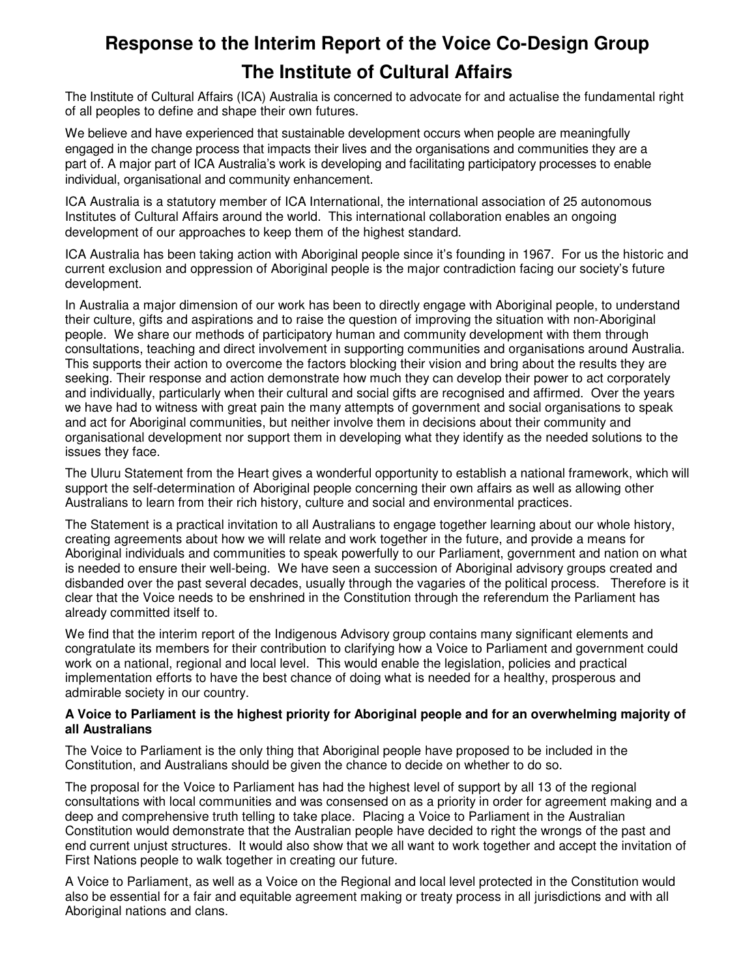# **Response to the Interim Report of the Voice Co-Design Group The Institute of Cultural Affairs**

The Institute of Cultural Affairs (ICA) Australia is concerned to advocate for and actualise the fundamental right of all peoples to define and shape their own futures.

We believe and have experienced that sustainable development occurs when people are meaningfully engaged in the change process that impacts their lives and the organisations and communities they are a part of. A major part of ICA Australia's work is developing and facilitating participatory processes to enable individual, organisational and community enhancement.

ICA Australia is a statutory member of ICA International, the international association of 25 autonomous Institutes of Cultural Affairs around the world. This international collaboration enables an ongoing development of our approaches to keep them of the highest standard.

ICA Australia has been taking action with Aboriginal people since it's founding in 1967. For us the historic and current exclusion and oppression of Aboriginal people is the major contradiction facing our society's future development.

In Australia a major dimension of our work has been to directly engage with Aboriginal people, to understand their culture, gifts and aspirations and to raise the question of improving the situation with non-Aboriginal people. We share our methods of participatory human and community development with them through consultations, teaching and direct involvement in supporting communities and organisations around Australia. This supports their action to overcome the factors blocking their vision and bring about the results they are seeking. Their response and action demonstrate how much they can develop their power to act corporately and individually, particularly when their cultural and social gifts are recognised and affirmed. Over the years we have had to witness with great pain the many attempts of government and social organisations to speak and act for Aboriginal communities, but neither involve them in decisions about their community and organisational development nor support them in developing what they identify as the needed solutions to the issues they face.

The Uluru Statement from the Heart gives a wonderful opportunity to establish a national framework, which will support the self-determination of Aboriginal people concerning their own affairs as well as allowing other Australians to learn from their rich history, culture and social and environmental practices.

The Statement is a practical invitation to all Australians to engage together learning about our whole history, creating agreements about how we will relate and work together in the future, and provide a means for Aboriginal individuals and communities to speak powerfully to our Parliament, government and nation on what is needed to ensure their well-being. We have seen a succession of Aboriginal advisory groups created and disbanded over the past several decades, usually through the vagaries of the political process. Therefore is it clear that the Voice needs to be enshrined in the Constitution through the referendum the Parliament has already committed itself to.

We find that the interim report of the Indigenous Advisory group contains many significant elements and congratulate its members for their contribution to clarifying how a Voice to Parliament and government could work on a national, regional and local level. This would enable the legislation, policies and practical implementation efforts to have the best chance of doing what is needed for a healthy, prosperous and admirable society in our country.

### **A Voice to Parliament is the highest priority for Aboriginal people and for an overwhelming majority of all Australians**

The Voice to Parliament is the only thing that Aboriginal people have proposed to be included in the Constitution, and Australians should be given the chance to decide on whether to do so.

The proposal for the Voice to Parliament has had the highest level of support by all 13 of the regional consultations with local communities and was consensed on as a priority in order for agreement making and a deep and comprehensive truth telling to take place. Placing a Voice to Parliament in the Australian Constitution would demonstrate that the Australian people have decided to right the wrongs of the past and end current unjust structures. It would also show that we all want to work together and accept the invitation of First Nations people to walk together in creating our future.

A Voice to Parliament, as well as a Voice on the Regional and local level protected in the Constitution would also be essential for a fair and equitable agreement making or treaty process in all jurisdictions and with all Aboriginal nations and clans.